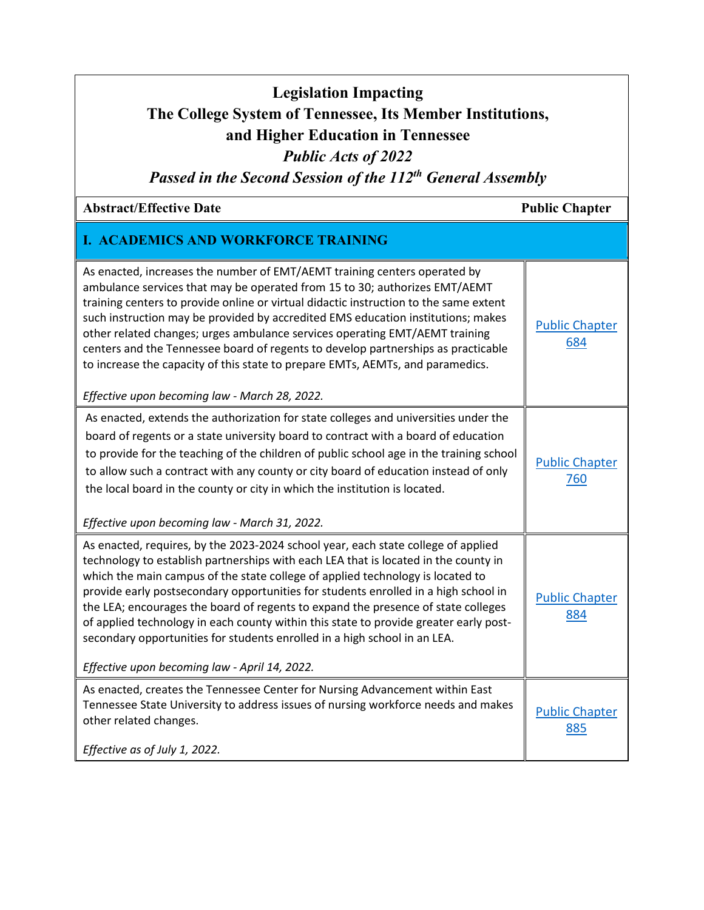## **Legislation Impacting The College System of Tennessee, Its Member Institutions, and Higher Education in Tennessee** *Public Acts of 2022*

*Passed in the Second Session of the 112th General Assembly*

## Abstract/Effective Date **Public Chapter Public Chapter Public Chapter**

## **I. ACADEMICS AND WORKFORCE TRAINING**

| As enacted, increases the number of EMT/AEMT training centers operated by<br>ambulance services that may be operated from 15 to 30; authorizes EMT/AEMT<br>training centers to provide online or virtual didactic instruction to the same extent<br>such instruction may be provided by accredited EMS education institutions; makes<br>other related changes; urges ambulance services operating EMT/AEMT training<br>centers and the Tennessee board of regents to develop partnerships as practicable<br>to increase the capacity of this state to prepare EMTs, AEMTs, and paramedics.<br>Effective upon becoming law - March 28, 2022.                   | <b>Public Chapter</b><br>684 |
|---------------------------------------------------------------------------------------------------------------------------------------------------------------------------------------------------------------------------------------------------------------------------------------------------------------------------------------------------------------------------------------------------------------------------------------------------------------------------------------------------------------------------------------------------------------------------------------------------------------------------------------------------------------|------------------------------|
| As enacted, extends the authorization for state colleges and universities under the<br>board of regents or a state university board to contract with a board of education<br>to provide for the teaching of the children of public school age in the training school<br>to allow such a contract with any county or city board of education instead of only                                                                                                                                                                                                                                                                                                   | <b>Public Chapter</b><br>760 |
| the local board in the county or city in which the institution is located.<br>Effective upon becoming law - March 31, 2022.                                                                                                                                                                                                                                                                                                                                                                                                                                                                                                                                   |                              |
| As enacted, requires, by the 2023-2024 school year, each state college of applied<br>technology to establish partnerships with each LEA that is located in the county in<br>which the main campus of the state college of applied technology is located to<br>provide early postsecondary opportunities for students enrolled in a high school in<br>the LEA; encourages the board of regents to expand the presence of state colleges<br>of applied technology in each county within this state to provide greater early post-<br>secondary opportunities for students enrolled in a high school in an LEA.<br>Effective upon becoming law - April 14, 2022. | <b>Public Chapter</b><br>884 |
| As enacted, creates the Tennessee Center for Nursing Advancement within East                                                                                                                                                                                                                                                                                                                                                                                                                                                                                                                                                                                  |                              |
| Tennessee State University to address issues of nursing workforce needs and makes<br>other related changes.                                                                                                                                                                                                                                                                                                                                                                                                                                                                                                                                                   | <b>Public Chapter</b><br>885 |
| Effective as of July 1, 2022.                                                                                                                                                                                                                                                                                                                                                                                                                                                                                                                                                                                                                                 |                              |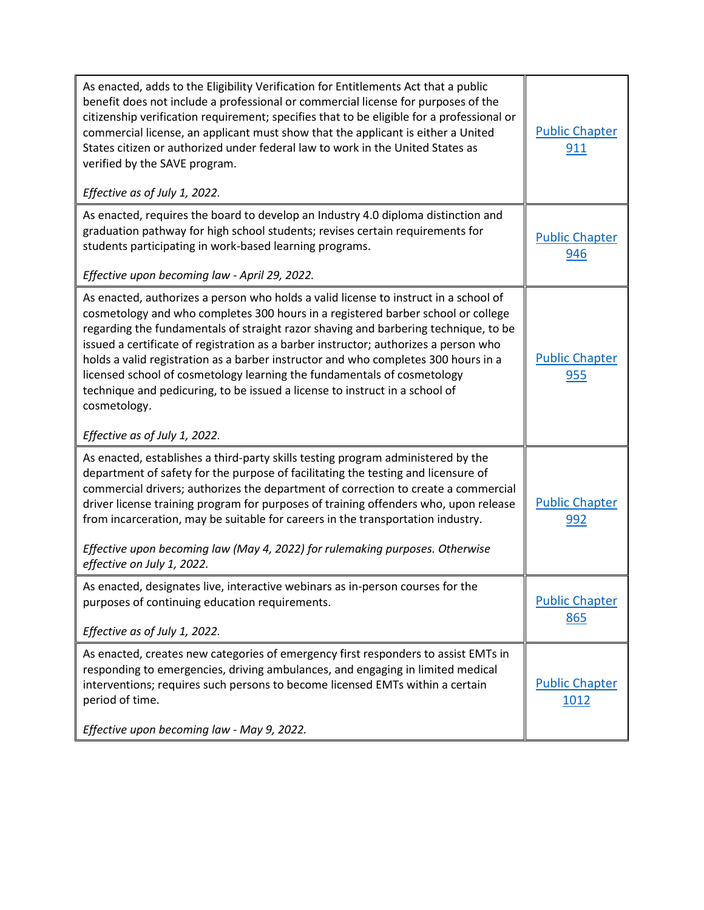| As enacted, adds to the Eligibility Verification for Entitlements Act that a public<br>benefit does not include a professional or commercial license for purposes of the<br>citizenship verification requirement; specifies that to be eligible for a professional or<br>commercial license, an applicant must show that the applicant is either a United<br>States citizen or authorized under federal law to work in the United States as<br>verified by the SAVE program.<br>Effective as of July 1, 2022.                                                                                                                                            | <b>Public Chapter</b><br><u>911</u> |
|----------------------------------------------------------------------------------------------------------------------------------------------------------------------------------------------------------------------------------------------------------------------------------------------------------------------------------------------------------------------------------------------------------------------------------------------------------------------------------------------------------------------------------------------------------------------------------------------------------------------------------------------------------|-------------------------------------|
| As enacted, requires the board to develop an Industry 4.0 diploma distinction and<br>graduation pathway for high school students; revises certain requirements for<br>students participating in work-based learning programs.<br>Effective upon becoming law - April 29, 2022.                                                                                                                                                                                                                                                                                                                                                                           | <b>Public Chapter</b><br>946        |
| As enacted, authorizes a person who holds a valid license to instruct in a school of<br>cosmetology and who completes 300 hours in a registered barber school or college<br>regarding the fundamentals of straight razor shaving and barbering technique, to be<br>issued a certificate of registration as a barber instructor; authorizes a person who<br>holds a valid registration as a barber instructor and who completes 300 hours in a<br>licensed school of cosmetology learning the fundamentals of cosmetology<br>technique and pedicuring, to be issued a license to instruct in a school of<br>cosmetology.<br>Effective as of July 1, 2022. | <b>Public Chapter</b><br>955        |
| As enacted, establishes a third-party skills testing program administered by the<br>department of safety for the purpose of facilitating the testing and licensure of<br>commercial drivers; authorizes the department of correction to create a commercial<br>driver license training program for purposes of training offenders who, upon release<br>from incarceration, may be suitable for careers in the transportation industry.<br>Effective upon becoming law (May 4, 2022) for rulemaking purposes. Otherwise<br>effective on July 1, 2022.                                                                                                     | <b>Public Chapter</b><br>992        |
| As enacted, designates live, interactive webinars as in-person courses for the<br>purposes of continuing education requirements.<br>Effective as of July 1, 2022.                                                                                                                                                                                                                                                                                                                                                                                                                                                                                        | <b>Public Chapter</b><br>865        |
| As enacted, creates new categories of emergency first responders to assist EMTs in<br>responding to emergencies, driving ambulances, and engaging in limited medical<br>interventions; requires such persons to become licensed EMTs within a certain<br>period of time.                                                                                                                                                                                                                                                                                                                                                                                 | <b>Public Chapter</b><br>1012       |
| Effective upon becoming law - May 9, 2022.                                                                                                                                                                                                                                                                                                                                                                                                                                                                                                                                                                                                               |                                     |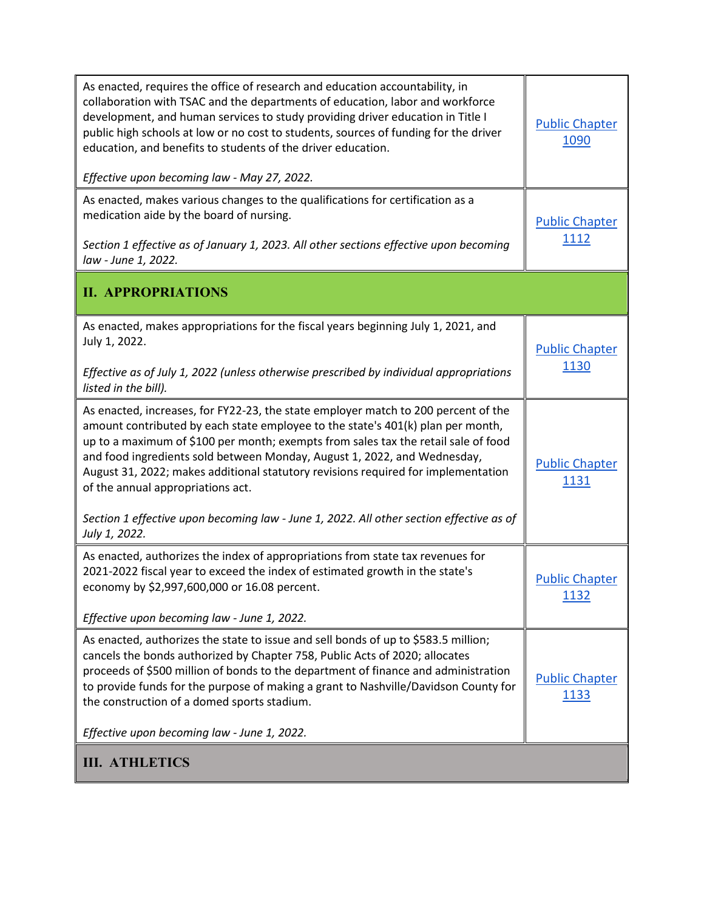| As enacted, requires the office of research and education accountability, in<br>collaboration with TSAC and the departments of education, labor and workforce<br>development, and human services to study providing driver education in Title I<br>public high schools at low or no cost to students, sources of funding for the driver<br>education, and benefits to students of the driver education.<br>Effective upon becoming law - May 27, 2022.                                      | <b>Public Chapter</b><br>1090         |
|---------------------------------------------------------------------------------------------------------------------------------------------------------------------------------------------------------------------------------------------------------------------------------------------------------------------------------------------------------------------------------------------------------------------------------------------------------------------------------------------|---------------------------------------|
| As enacted, makes various changes to the qualifications for certification as a<br>medication aide by the board of nursing.<br>Section 1 effective as of January 1, 2023. All other sections effective upon becoming<br>law - June 1, 2022.                                                                                                                                                                                                                                                  | <b>Public Chapter</b><br><u>1112</u>  |
| <b>II. APPROPRIATIONS</b>                                                                                                                                                                                                                                                                                                                                                                                                                                                                   |                                       |
| As enacted, makes appropriations for the fiscal years beginning July 1, 2021, and<br>July 1, 2022.<br>Effective as of July 1, 2022 (unless otherwise prescribed by individual appropriations<br>listed in the bill).                                                                                                                                                                                                                                                                        | <b>Public Chapter</b><br>1130         |
| As enacted, increases, for FY22-23, the state employer match to 200 percent of the<br>amount contributed by each state employee to the state's 401(k) plan per month,<br>up to a maximum of \$100 per month; exempts from sales tax the retail sale of food<br>and food ingredients sold between Monday, August 1, 2022, and Wednesday,<br>August 31, 2022; makes additional statutory revisions required for implementation<br>of the annual appropriations act.                           | <b>Public Chapter</b><br><u> 1131</u> |
| Section 1 effective upon becoming law - June 1, 2022. All other section effective as of<br>July 1, 2022.                                                                                                                                                                                                                                                                                                                                                                                    |                                       |
| As enacted, authorizes the index of appropriations from state tax revenues for<br>2021-2022 fiscal year to exceed the index of estimated growth in the state's<br>economy by \$2,997,600,000 or 16.08 percent.                                                                                                                                                                                                                                                                              | <b>Public Chapter</b><br>1132         |
| Effective upon becoming law - June 1, 2022.<br>As enacted, authorizes the state to issue and sell bonds of up to \$583.5 million;<br>cancels the bonds authorized by Chapter 758, Public Acts of 2020; allocates<br>proceeds of \$500 million of bonds to the department of finance and administration<br>to provide funds for the purpose of making a grant to Nashville/Davidson County for<br>the construction of a domed sports stadium.<br>Effective upon becoming law - June 1, 2022. | <b>Public Chapter</b><br>1133         |
| <b>III. ATHLETICS</b>                                                                                                                                                                                                                                                                                                                                                                                                                                                                       |                                       |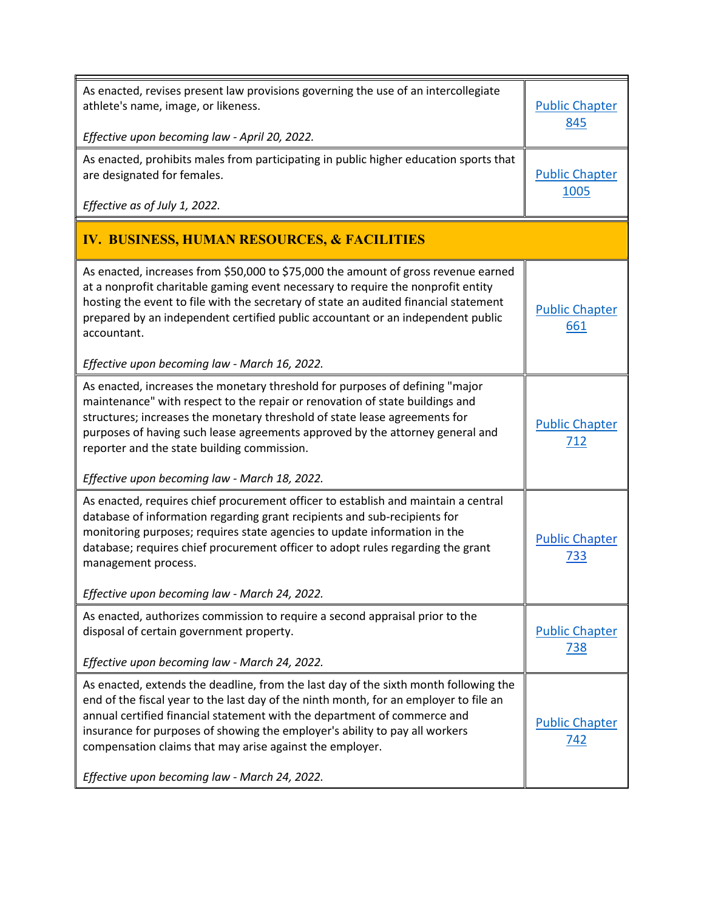| As enacted, revises present law provisions governing the use of an intercollegiate<br>athlete's name, image, or likeness.<br>Effective upon becoming law - April 20, 2022.                                                                                                                                                                                                                                                  | <b>Public Chapter</b><br>845        |
|-----------------------------------------------------------------------------------------------------------------------------------------------------------------------------------------------------------------------------------------------------------------------------------------------------------------------------------------------------------------------------------------------------------------------------|-------------------------------------|
| As enacted, prohibits males from participating in public higher education sports that<br>are designated for females.<br>Effective as of July 1, 2022.                                                                                                                                                                                                                                                                       | <b>Public Chapter</b><br>1005       |
| <b>IV. BUSINESS, HUMAN RESOURCES, &amp; FACILITIES</b>                                                                                                                                                                                                                                                                                                                                                                      |                                     |
| As enacted, increases from \$50,000 to \$75,000 the amount of gross revenue earned<br>at a nonprofit charitable gaming event necessary to require the nonprofit entity<br>hosting the event to file with the secretary of state an audited financial statement<br>prepared by an independent certified public accountant or an independent public<br>accountant.                                                            | <b>Public Chapter</b><br>661        |
| Effective upon becoming law - March 16, 2022.                                                                                                                                                                                                                                                                                                                                                                               |                                     |
| As enacted, increases the monetary threshold for purposes of defining "major<br>maintenance" with respect to the repair or renovation of state buildings and<br>structures; increases the monetary threshold of state lease agreements for<br>purposes of having such lease agreements approved by the attorney general and<br>reporter and the state building commission.<br>Effective upon becoming law - March 18, 2022. | <b>Public Chapter</b><br>712        |
| As enacted, requires chief procurement officer to establish and maintain a central                                                                                                                                                                                                                                                                                                                                          |                                     |
| database of information regarding grant recipients and sub-recipients for<br>monitoring purposes; requires state agencies to update information in the<br>database; requires chief procurement officer to adopt rules regarding the grant<br>management process.                                                                                                                                                            | <b>Public Chapter</b><br>733        |
| Effective upon becoming law - March 24, 2022.                                                                                                                                                                                                                                                                                                                                                                               |                                     |
| As enacted, authorizes commission to require a second appraisal prior to the<br>disposal of certain government property.<br>Effective upon becoming law - March 24, 2022.                                                                                                                                                                                                                                                   | <b>Public Chapter</b><br><u>738</u> |
| As enacted, extends the deadline, from the last day of the sixth month following the                                                                                                                                                                                                                                                                                                                                        |                                     |
| end of the fiscal year to the last day of the ninth month, for an employer to file an<br>annual certified financial statement with the department of commerce and<br>insurance for purposes of showing the employer's ability to pay all workers<br>compensation claims that may arise against the employer.                                                                                                                | <b>Public Chapter</b><br><u>742</u> |
| Effective upon becoming law - March 24, 2022.                                                                                                                                                                                                                                                                                                                                                                               |                                     |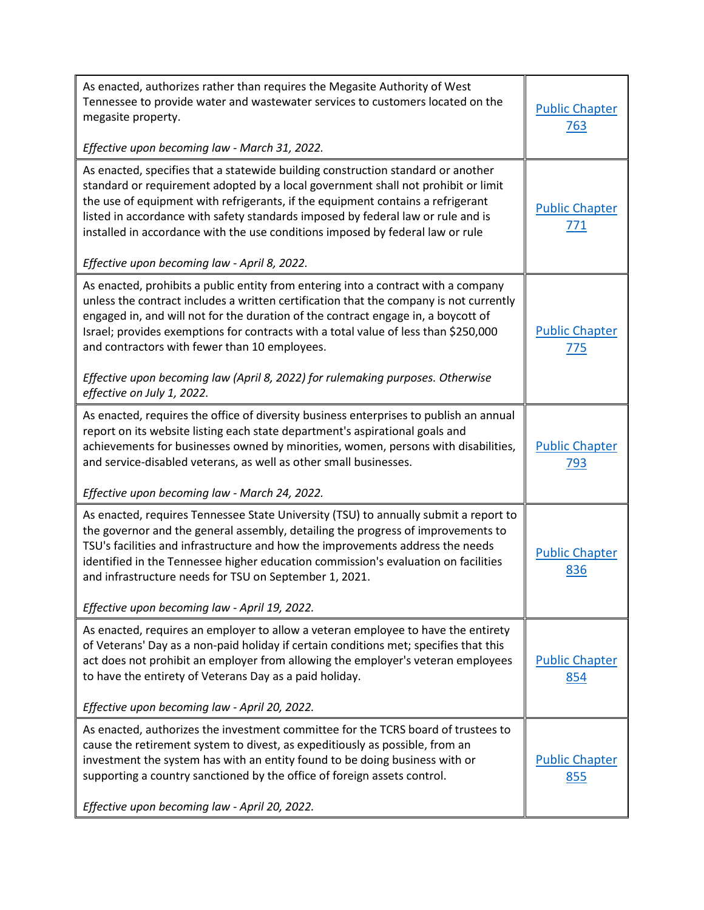| As enacted, authorizes rather than requires the Megasite Authority of West<br>Tennessee to provide water and wastewater services to customers located on the<br>megasite property.<br>Effective upon becoming law - March 31, 2022.                                                                                                                                                                        | <b>Public Chapter</b><br>763        |
|------------------------------------------------------------------------------------------------------------------------------------------------------------------------------------------------------------------------------------------------------------------------------------------------------------------------------------------------------------------------------------------------------------|-------------------------------------|
| As enacted, specifies that a statewide building construction standard or another<br>standard or requirement adopted by a local government shall not prohibit or limit                                                                                                                                                                                                                                      |                                     |
| the use of equipment with refrigerants, if the equipment contains a refrigerant<br>listed in accordance with safety standards imposed by federal law or rule and is<br>installed in accordance with the use conditions imposed by federal law or rule                                                                                                                                                      | <b>Public Chapter</b><br>771        |
| Effective upon becoming law - April 8, 2022.                                                                                                                                                                                                                                                                                                                                                               |                                     |
| As enacted, prohibits a public entity from entering into a contract with a company<br>unless the contract includes a written certification that the company is not currently<br>engaged in, and will not for the duration of the contract engage in, a boycott of<br>Israel; provides exemptions for contracts with a total value of less than \$250,000<br>and contractors with fewer than 10 employees.  | <b>Public Chapter</b><br><u>775</u> |
| Effective upon becoming law (April 8, 2022) for rulemaking purposes. Otherwise<br>effective on July 1, 2022.                                                                                                                                                                                                                                                                                               |                                     |
| As enacted, requires the office of diversity business enterprises to publish an annual<br>report on its website listing each state department's aspirational goals and                                                                                                                                                                                                                                     |                                     |
| achievements for businesses owned by minorities, women, persons with disabilities,<br>and service-disabled veterans, as well as other small businesses.                                                                                                                                                                                                                                                    | <b>Public Chapter</b><br>793        |
| Effective upon becoming law - March 24, 2022.                                                                                                                                                                                                                                                                                                                                                              |                                     |
| As enacted, requires Tennessee State University (TSU) to annually submit a report to<br>the governor and the general assembly, detailing the progress of improvements to<br>TSU's facilities and infrastructure and how the improvements address the needs<br>identified in the Tennessee higher education commission's evaluation on facilities<br>and infrastructure needs for TSU on September 1, 2021. | <b>Public Chapter</b><br>836        |
| Effective upon becoming law - April 19, 2022.                                                                                                                                                                                                                                                                                                                                                              |                                     |
| As enacted, requires an employer to allow a veteran employee to have the entirety<br>of Veterans' Day as a non-paid holiday if certain conditions met; specifies that this<br>act does not prohibit an employer from allowing the employer's veteran employees<br>to have the entirety of Veterans Day as a paid holiday.                                                                                  | <b>Public Chapter</b><br>854        |
| Effective upon becoming law - April 20, 2022.                                                                                                                                                                                                                                                                                                                                                              |                                     |
| As enacted, authorizes the investment committee for the TCRS board of trustees to<br>cause the retirement system to divest, as expeditiously as possible, from an<br>investment the system has with an entity found to be doing business with or<br>supporting a country sanctioned by the office of foreign assets control.                                                                               | <b>Public Chapter</b><br>855        |
| Effective upon becoming law - April 20, 2022.                                                                                                                                                                                                                                                                                                                                                              |                                     |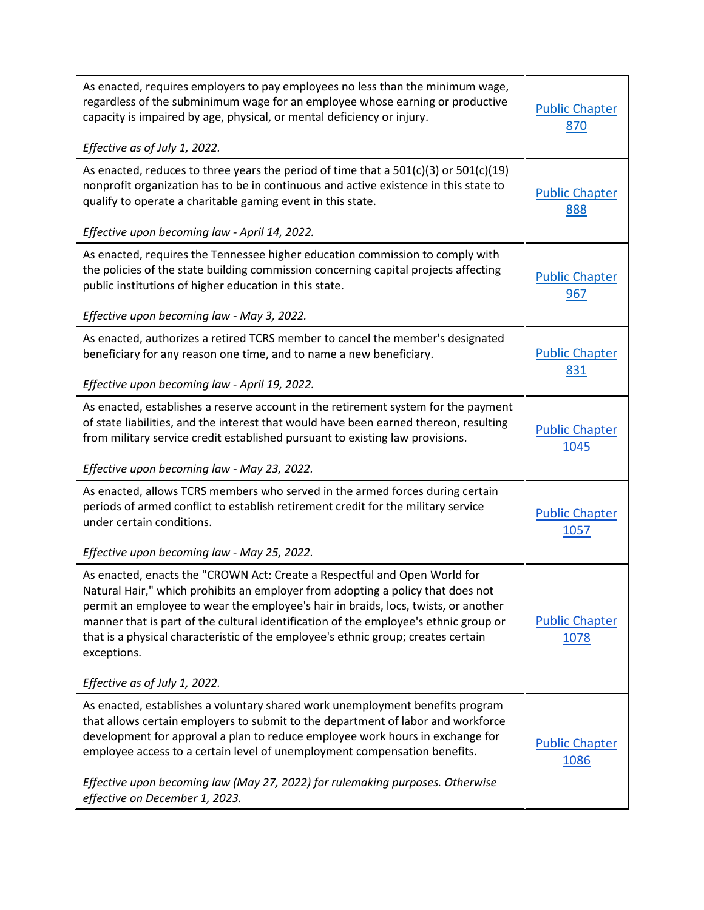| As enacted, requires employers to pay employees no less than the minimum wage,<br>regardless of the subminimum wage for an employee whose earning or productive<br>capacity is impaired by age, physical, or mental deficiency or injury.<br>Effective as of July 1, 2022.                                                                                                                                                                                                      | <b>Public Chapter</b><br>870         |
|---------------------------------------------------------------------------------------------------------------------------------------------------------------------------------------------------------------------------------------------------------------------------------------------------------------------------------------------------------------------------------------------------------------------------------------------------------------------------------|--------------------------------------|
| As enacted, reduces to three years the period of time that a $501(c)(3)$ or $501(c)(19)$<br>nonprofit organization has to be in continuous and active existence in this state to<br>qualify to operate a charitable gaming event in this state.<br>Effective upon becoming law - April 14, 2022.                                                                                                                                                                                | <b>Public Chapter</b><br>888         |
| As enacted, requires the Tennessee higher education commission to comply with<br>the policies of the state building commission concerning capital projects affecting<br>public institutions of higher education in this state.<br>Effective upon becoming law - May 3, 2022.                                                                                                                                                                                                    | <b>Public Chapter</b><br><u>967</u>  |
| As enacted, authorizes a retired TCRS member to cancel the member's designated<br>beneficiary for any reason one time, and to name a new beneficiary.<br>Effective upon becoming law - April 19, 2022.                                                                                                                                                                                                                                                                          | <b>Public Chapter</b><br>831         |
| As enacted, establishes a reserve account in the retirement system for the payment<br>of state liabilities, and the interest that would have been earned thereon, resulting<br>from military service credit established pursuant to existing law provisions.<br>Effective upon becoming law - May 23, 2022.                                                                                                                                                                     | <b>Public Chapter</b><br>1045        |
| As enacted, allows TCRS members who served in the armed forces during certain<br>periods of armed conflict to establish retirement credit for the military service<br>under certain conditions.<br>Effective upon becoming law - May 25, 2022.                                                                                                                                                                                                                                  | <b>Public Chapter</b><br><u>1057</u> |
| As enacted, enacts the "CROWN Act: Create a Respectful and Open World for<br>Natural Hair," which prohibits an employer from adopting a policy that does not<br>permit an employee to wear the employee's hair in braids, locs, twists, or another<br>manner that is part of the cultural identification of the employee's ethnic group or<br>that is a physical characteristic of the employee's ethnic group; creates certain<br>exceptions.<br>Effective as of July 1, 2022. | <b>Public Chapter</b><br>1078        |
| As enacted, establishes a voluntary shared work unemployment benefits program<br>that allows certain employers to submit to the department of labor and workforce<br>development for approval a plan to reduce employee work hours in exchange for<br>employee access to a certain level of unemployment compensation benefits.<br>Effective upon becoming law (May 27, 2022) for rulemaking purposes. Otherwise<br>effective on December 1, 2023.                              | <b>Public Chapter</b><br>1086        |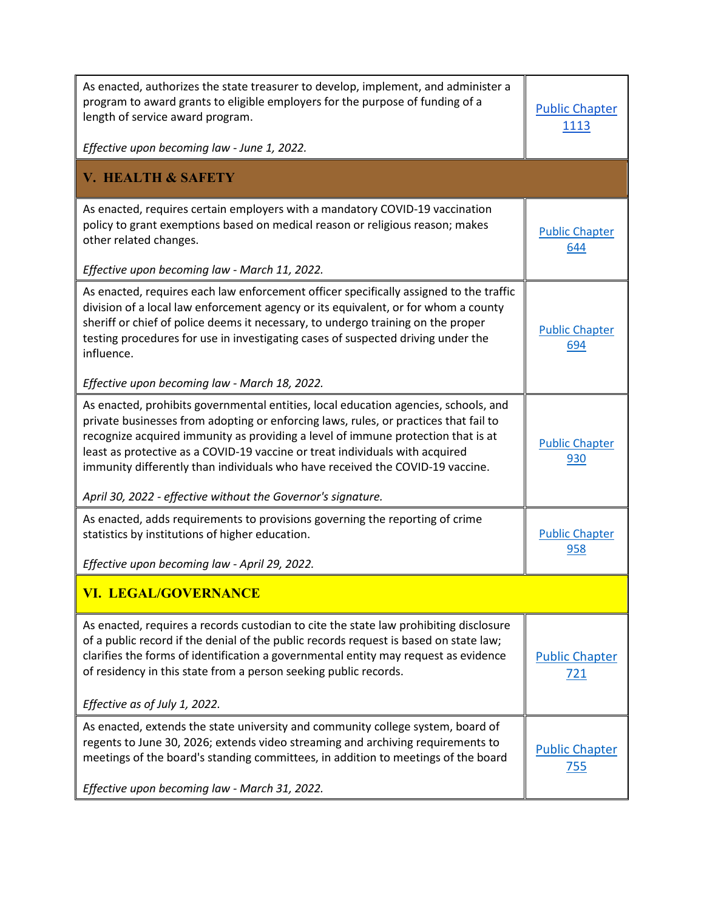| As enacted, authorizes the state treasurer to develop, implement, and administer a<br>program to award grants to eligible employers for the purpose of funding of a<br>length of service award program.<br>Effective upon becoming law - June 1, 2022.                                                                                                                                                                                                                                           | <b>Public Chapter</b><br>1113       |
|--------------------------------------------------------------------------------------------------------------------------------------------------------------------------------------------------------------------------------------------------------------------------------------------------------------------------------------------------------------------------------------------------------------------------------------------------------------------------------------------------|-------------------------------------|
| <b>V. HEALTH &amp; SAFETY</b>                                                                                                                                                                                                                                                                                                                                                                                                                                                                    |                                     |
| As enacted, requires certain employers with a mandatory COVID-19 vaccination<br>policy to grant exemptions based on medical reason or religious reason; makes<br>other related changes.                                                                                                                                                                                                                                                                                                          | <b>Public Chapter</b><br>644        |
| Effective upon becoming law - March 11, 2022.                                                                                                                                                                                                                                                                                                                                                                                                                                                    |                                     |
| As enacted, requires each law enforcement officer specifically assigned to the traffic<br>division of a local law enforcement agency or its equivalent, or for whom a county<br>sheriff or chief of police deems it necessary, to undergo training on the proper<br>testing procedures for use in investigating cases of suspected driving under the<br>influence.                                                                                                                               | <b>Public Chapter</b><br>694        |
| Effective upon becoming law - March 18, 2022.                                                                                                                                                                                                                                                                                                                                                                                                                                                    |                                     |
| As enacted, prohibits governmental entities, local education agencies, schools, and<br>private businesses from adopting or enforcing laws, rules, or practices that fail to<br>recognize acquired immunity as providing a level of immune protection that is at<br>least as protective as a COVID-19 vaccine or treat individuals with acquired<br>immunity differently than individuals who have received the COVID-19 vaccine.<br>April 30, 2022 - effective without the Governor's signature. | <b>Public Chapter</b><br>930        |
| As enacted, adds requirements to provisions governing the reporting of crime<br>statistics by institutions of higher education.                                                                                                                                                                                                                                                                                                                                                                  | <b>Public Chapter</b><br>958        |
| Effective upon becoming law - April 29, 2022.                                                                                                                                                                                                                                                                                                                                                                                                                                                    |                                     |
| <b>VI. LEGAL/GOVERNANCE</b>                                                                                                                                                                                                                                                                                                                                                                                                                                                                      |                                     |
| As enacted, requires a records custodian to cite the state law prohibiting disclosure<br>of a public record if the denial of the public records request is based on state law;<br>clarifies the forms of identification a governmental entity may request as evidence<br>of residency in this state from a person seeking public records.                                                                                                                                                        | <b>Public Chapter</b><br><u>721</u> |
| Effective as of July 1, 2022.                                                                                                                                                                                                                                                                                                                                                                                                                                                                    |                                     |
| As enacted, extends the state university and community college system, board of<br>regents to June 30, 2026; extends video streaming and archiving requirements to<br>meetings of the board's standing committees, in addition to meetings of the board                                                                                                                                                                                                                                          | <b>Public Chapter</b><br>755        |
| Effective upon becoming law - March 31, 2022.                                                                                                                                                                                                                                                                                                                                                                                                                                                    |                                     |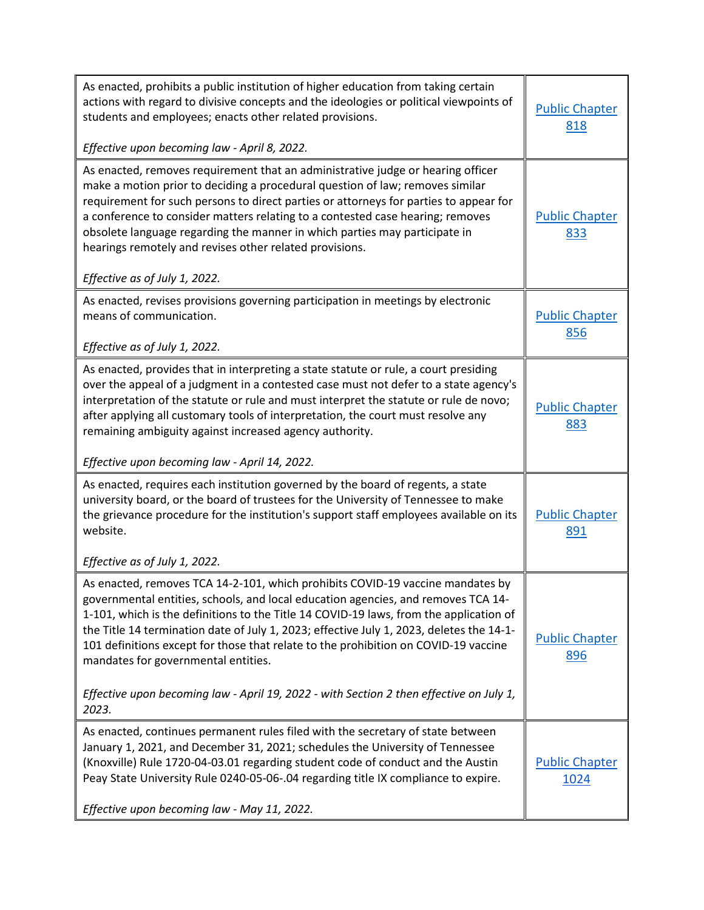| As enacted, prohibits a public institution of higher education from taking certain<br>actions with regard to divisive concepts and the ideologies or political viewpoints of<br>students and employees; enacts other related provisions.<br>Effective upon becoming law - April 8, 2022.                                                                                                                                                                                                                                                                                                    | <b>Public Chapter</b><br>818        |
|---------------------------------------------------------------------------------------------------------------------------------------------------------------------------------------------------------------------------------------------------------------------------------------------------------------------------------------------------------------------------------------------------------------------------------------------------------------------------------------------------------------------------------------------------------------------------------------------|-------------------------------------|
| As enacted, removes requirement that an administrative judge or hearing officer<br>make a motion prior to deciding a procedural question of law; removes similar<br>requirement for such persons to direct parties or attorneys for parties to appear for<br>a conference to consider matters relating to a contested case hearing; removes<br>obsolete language regarding the manner in which parties may participate in<br>hearings remotely and revises other related provisions.<br>Effective as of July 1, 2022.                                                                       | <b>Public Chapter</b><br>833        |
| As enacted, revises provisions governing participation in meetings by electronic<br>means of communication.<br>Effective as of July 1, 2022.                                                                                                                                                                                                                                                                                                                                                                                                                                                | <b>Public Chapter</b><br>856        |
| As enacted, provides that in interpreting a state statute or rule, a court presiding<br>over the appeal of a judgment in a contested case must not defer to a state agency's<br>interpretation of the statute or rule and must interpret the statute or rule de novo;<br>after applying all customary tools of interpretation, the court must resolve any<br>remaining ambiguity against increased agency authority.                                                                                                                                                                        | <b>Public Chapter</b><br>883        |
| Effective upon becoming law - April 14, 2022.                                                                                                                                                                                                                                                                                                                                                                                                                                                                                                                                               |                                     |
| As enacted, requires each institution governed by the board of regents, a state<br>university board, or the board of trustees for the University of Tennessee to make<br>the grievance procedure for the institution's support staff employees available on its<br>website.                                                                                                                                                                                                                                                                                                                 | <b>Public Chapter</b><br>891        |
| Effective as of July 1, 2022.                                                                                                                                                                                                                                                                                                                                                                                                                                                                                                                                                               |                                     |
| As enacted, removes TCA 14-2-101, which prohibits COVID-19 vaccine mandates by<br>governmental entities, schools, and local education agencies, and removes TCA 14-<br>1-101, which is the definitions to the Title 14 COVID-19 laws, from the application of<br>the Title 14 termination date of July 1, 2023; effective July 1, 2023, deletes the 14-1-<br>101 definitions except for those that relate to the prohibition on COVID-19 vaccine<br>mandates for governmental entities.<br>Effective upon becoming law - April 19, 2022 - with Section 2 then effective on July 1,<br>2023. | <b>Public Chapter</b><br><u>896</u> |
|                                                                                                                                                                                                                                                                                                                                                                                                                                                                                                                                                                                             |                                     |
| As enacted, continues permanent rules filed with the secretary of state between<br>January 1, 2021, and December 31, 2021; schedules the University of Tennessee<br>(Knoxville) Rule 1720-04-03.01 regarding student code of conduct and the Austin<br>Peay State University Rule 0240-05-06-.04 regarding title IX compliance to expire.                                                                                                                                                                                                                                                   | <b>Public Chapter</b><br>1024       |
| Effective upon becoming law - May 11, 2022.                                                                                                                                                                                                                                                                                                                                                                                                                                                                                                                                                 |                                     |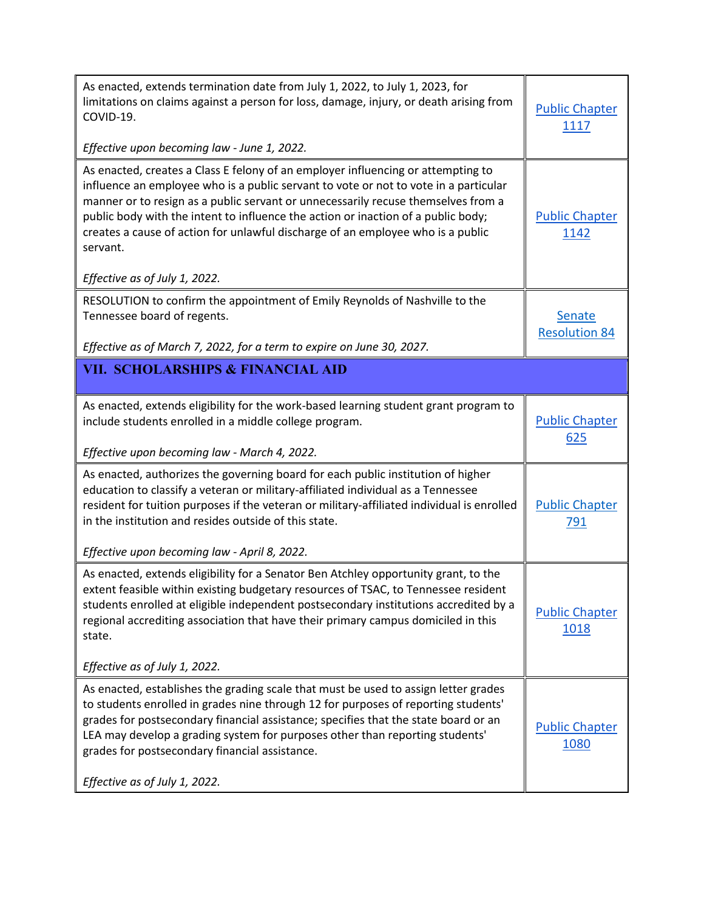| As enacted, extends termination date from July 1, 2022, to July 1, 2023, for<br>limitations on claims against a person for loss, damage, injury, or death arising from<br>COVID-19.<br>Effective upon becoming law - June 1, 2022.                                                                                                                                                                 | <b>Public Chapter</b><br>1117         |
|----------------------------------------------------------------------------------------------------------------------------------------------------------------------------------------------------------------------------------------------------------------------------------------------------------------------------------------------------------------------------------------------------|---------------------------------------|
| As enacted, creates a Class E felony of an employer influencing or attempting to<br>influence an employee who is a public servant to vote or not to vote in a particular                                                                                                                                                                                                                           |                                       |
| manner or to resign as a public servant or unnecessarily recuse themselves from a<br>public body with the intent to influence the action or inaction of a public body;<br>creates a cause of action for unlawful discharge of an employee who is a public<br>servant.                                                                                                                              | <b>Public Chapter</b><br>1142         |
| Effective as of July 1, 2022.                                                                                                                                                                                                                                                                                                                                                                      |                                       |
| RESOLUTION to confirm the appointment of Emily Reynolds of Nashville to the<br>Tennessee board of regents.                                                                                                                                                                                                                                                                                         | <b>Senate</b><br><b>Resolution 84</b> |
| Effective as of March 7, 2022, for a term to expire on June 30, 2027.                                                                                                                                                                                                                                                                                                                              |                                       |
| <b>VII. SCHOLARSHIPS &amp; FINANCIAL AID</b>                                                                                                                                                                                                                                                                                                                                                       |                                       |
| As enacted, extends eligibility for the work-based learning student grant program to<br>include students enrolled in a middle college program.                                                                                                                                                                                                                                                     | <b>Public Chapter</b>                 |
| Effective upon becoming law - March 4, 2022.                                                                                                                                                                                                                                                                                                                                                       | <u>625</u>                            |
| As enacted, authorizes the governing board for each public institution of higher<br>education to classify a veteran or military-affiliated individual as a Tennessee<br>resident for tuition purposes if the veteran or military-affiliated individual is enrolled<br>in the institution and resides outside of this state.                                                                        | <b>Public Chapter</b><br><u>791</u>   |
| Effective upon becoming law - April 8, 2022.                                                                                                                                                                                                                                                                                                                                                       |                                       |
| As enacted, extends eligibility for a Senator Ben Atchley opportunity grant, to the<br>extent feasible within existing budgetary resources of TSAC, to Tennessee resident<br>students enrolled at eligible independent postsecondary institutions accredited by a<br>regional accrediting association that have their primary campus domiciled in this<br>state.                                   | <b>Public Chapter</b><br>1018         |
| Effective as of July 1, 2022.                                                                                                                                                                                                                                                                                                                                                                      |                                       |
| As enacted, establishes the grading scale that must be used to assign letter grades<br>to students enrolled in grades nine through 12 for purposes of reporting students'<br>grades for postsecondary financial assistance; specifies that the state board or an<br>LEA may develop a grading system for purposes other than reporting students'<br>grades for postsecondary financial assistance. | <b>Public Chapter</b><br>1080         |
| Effective as of July 1, 2022.                                                                                                                                                                                                                                                                                                                                                                      |                                       |